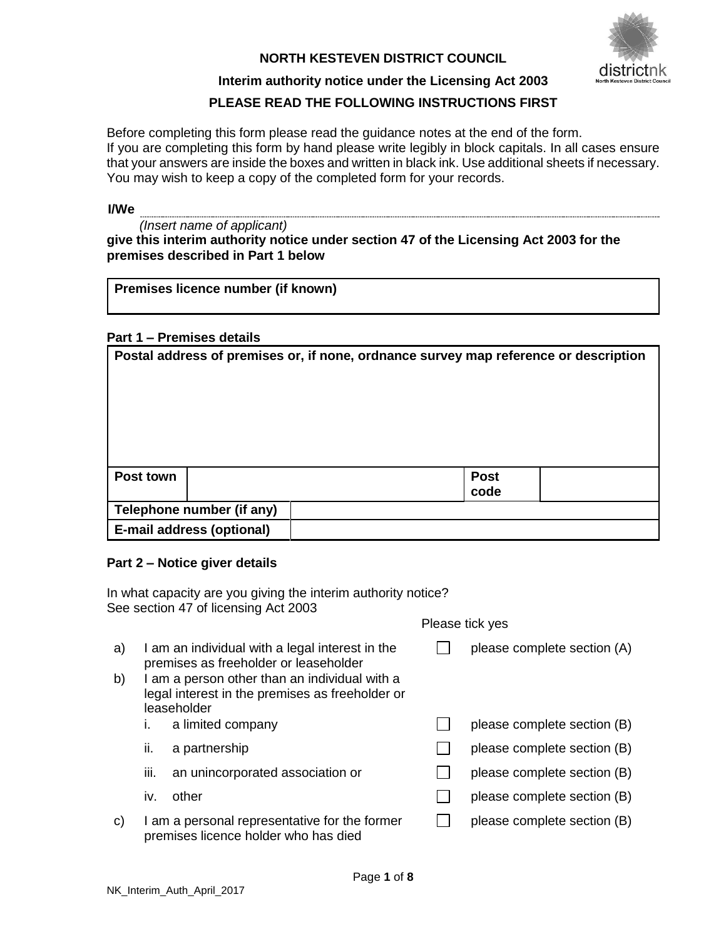## **NORTH KESTEVEN DISTRICT COUNCIL**



## **Interim authority notice under the Licensing Act 2003**

# **PLEASE READ THE FOLLOWING INSTRUCTIONS FIRST**

Before completing this form please read the guidance notes at the end of the form. If you are completing this form by hand please write legibly in block capitals. In all cases ensure that your answers are inside the boxes and written in black ink. Use additional sheets if necessary. You may wish to keep a copy of the completed form for your records.

## **I/We**

| (Insert name of applicant)                                                            |
|---------------------------------------------------------------------------------------|
| give this interim authority notice under section 47 of the Licensing Act 2003 for the |
| premises described in Part 1 below                                                    |

### **Part 1 – Premises details**

| Postal address of premises or, if none, ordnance survey map reference or description |                           |  |                     |  |  |  |  |  |
|--------------------------------------------------------------------------------------|---------------------------|--|---------------------|--|--|--|--|--|
| Post town                                                                            |                           |  | <b>Post</b><br>code |  |  |  |  |  |
| Telephone number (if any)                                                            |                           |  |                     |  |  |  |  |  |
|                                                                                      | E-mail address (optional) |  |                     |  |  |  |  |  |

### **Part 2 – Notice giver details**

| In what capacity are you giving the interim authority notice?<br>See section 47 of licensing Act 2003 |                 |                                                                                                                                                                                                             |  |                             |  |  |  |  |  |  |
|-------------------------------------------------------------------------------------------------------|-----------------|-------------------------------------------------------------------------------------------------------------------------------------------------------------------------------------------------------------|--|-----------------------------|--|--|--|--|--|--|
|                                                                                                       | Please tick yes |                                                                                                                                                                                                             |  |                             |  |  |  |  |  |  |
| a)<br>b)                                                                                              |                 | I am an individual with a legal interest in the<br>premises as freeholder or leaseholder<br>I am a person other than an individual with a<br>legal interest in the premises as freeholder or<br>leaseholder |  | please complete section (A) |  |  |  |  |  |  |
|                                                                                                       | ı.              | a limited company                                                                                                                                                                                           |  | please complete section (B) |  |  |  |  |  |  |
|                                                                                                       | ii.             | a partnership                                                                                                                                                                                               |  | please complete section (B) |  |  |  |  |  |  |
|                                                                                                       | iii.            | an unincorporated association or                                                                                                                                                                            |  | please complete section (B) |  |  |  |  |  |  |
|                                                                                                       | İV.             | other                                                                                                                                                                                                       |  | please complete section (B) |  |  |  |  |  |  |
| C)                                                                                                    |                 | I am a personal representative for the former<br>premises licence holder who has died                                                                                                                       |  | please complete section (B) |  |  |  |  |  |  |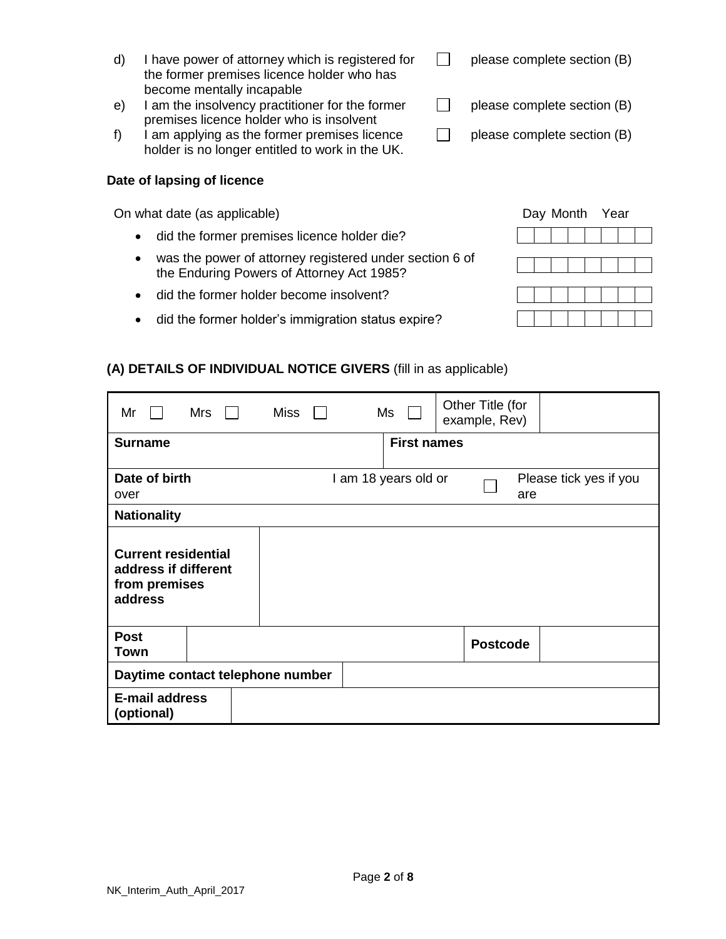- d) I have power of attorney which is registered for the former premises licence holder who has become mentally incapable
- e) I am the insolvency practitioner for the former premises licence holder who is insolvent
- f) I am applying as the former premises licence holder is no longer entitled to work in the UK.

### **Date of lapsing of licence**

On what date (as applicable)

- did the former premises licence holder die?
- was the power of attorney registered under section 6 of the Enduring Powers of Attorney Act 1985?
- did the former holder become insolvent?
- did the former holder's immigration status expire?

# **(A) DETAILS OF INDIVIDUAL NOTICE GIVERS** (fill in as applicable)

| Mr                                                                             | Mrs | <b>Miss</b> |  | Ms                   | Other Title (for<br>example, Rev) |     |                        |
|--------------------------------------------------------------------------------|-----|-------------|--|----------------------|-----------------------------------|-----|------------------------|
| <b>Surname</b>                                                                 |     |             |  | <b>First names</b>   |                                   |     |                        |
| Date of birth<br>over                                                          |     |             |  | I am 18 years old or |                                   | are | Please tick yes if you |
| <b>Nationality</b>                                                             |     |             |  |                      |                                   |     |                        |
| <b>Current residential</b><br>address if different<br>from premises<br>address |     |             |  |                      |                                   |     |                        |
| <b>Post</b><br>Town                                                            |     |             |  |                      | <b>Postcode</b>                   |     |                        |
| Daytime contact telephone number                                               |     |             |  |                      |                                   |     |                        |
| <b>E-mail address</b><br>(optional)                                            |     |             |  |                      |                                   |     |                        |

|  |  | Day Month Year |  |  |
|--|--|----------------|--|--|
|  |  |                |  |  |
|  |  |                |  |  |
|  |  |                |  |  |
|  |  |                |  |  |
|  |  |                |  |  |
|  |  |                |  |  |
|  |  |                |  |  |

 $\Box$ please complete section (B)

 $\Box$ please complete section (B)

 $\Box$ please complete section (B)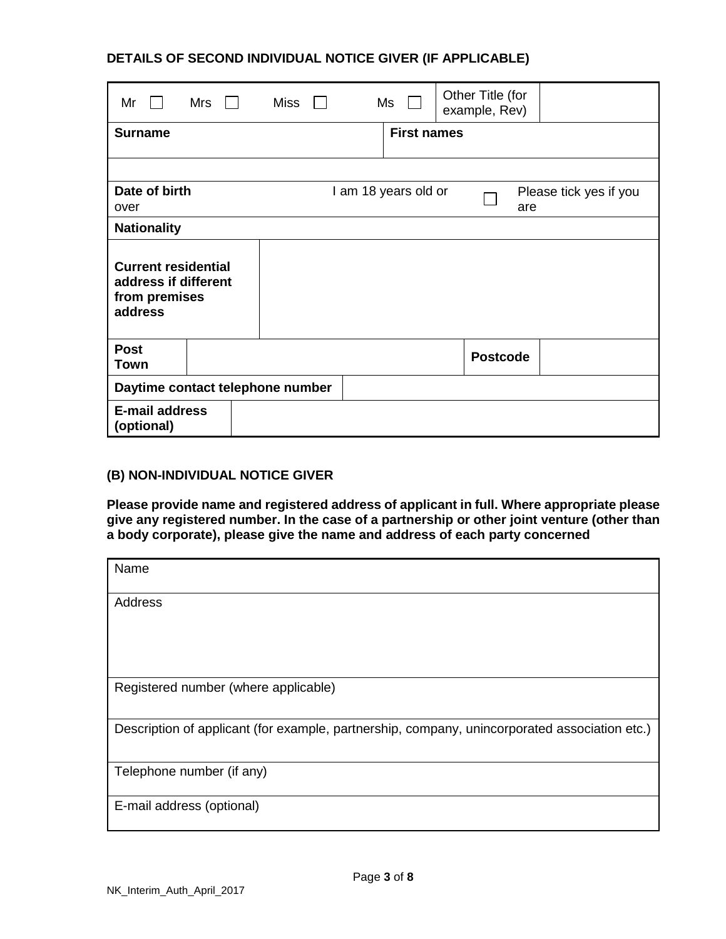# **DETAILS OF SECOND INDIVIDUAL NOTICE GIVER (IF APPLICABLE)**

| Mr                                                                             | Mrs |  | Miss |  | Ms                   | Other Title (for<br>example, Rev) |                        |
|--------------------------------------------------------------------------------|-----|--|------|--|----------------------|-----------------------------------|------------------------|
| <b>Surname</b>                                                                 |     |  |      |  | <b>First names</b>   |                                   |                        |
|                                                                                |     |  |      |  |                      |                                   |                        |
| Date of birth<br>over                                                          |     |  |      |  | I am 18 years old or | are                               | Please tick yes if you |
| <b>Nationality</b>                                                             |     |  |      |  |                      |                                   |                        |
| <b>Current residential</b><br>address if different<br>from premises<br>address |     |  |      |  |                      |                                   |                        |
| <b>Post</b><br><b>Town</b>                                                     |     |  |      |  |                      | <b>Postcode</b>                   |                        |
| Daytime contact telephone number                                               |     |  |      |  |                      |                                   |                        |
| <b>E-mail address</b><br>(optional)                                            |     |  |      |  |                      |                                   |                        |

## **(B) NON-INDIVIDUAL NOTICE GIVER**

**Please provide name and registered address of applicant in full. Where appropriate please give any registered number. In the case of a partnership or other joint venture (other than a body corporate), please give the name and address of each party concerned**

| Name                                                                                          |
|-----------------------------------------------------------------------------------------------|
| <b>Address</b>                                                                                |
|                                                                                               |
|                                                                                               |
| Registered number (where applicable)                                                          |
| Description of applicant (for example, partnership, company, unincorporated association etc.) |
| Telephone number (if any)                                                                     |
| E-mail address (optional)                                                                     |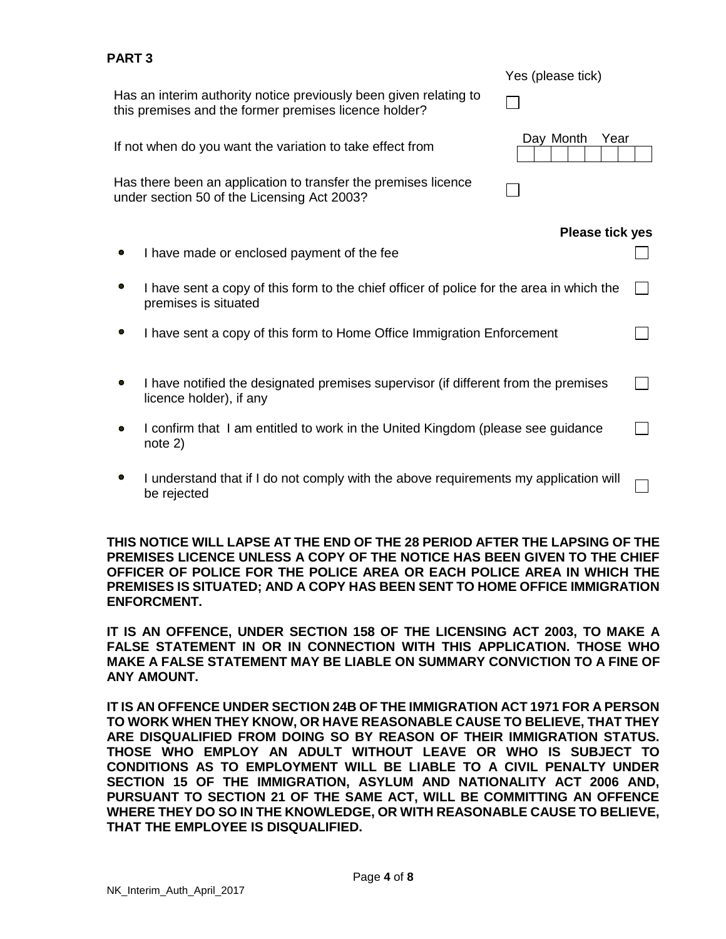| AN I J |                                                                                                                            | Yes (please tick)      |  |
|--------|----------------------------------------------------------------------------------------------------------------------------|------------------------|--|
|        | Has an interim authority notice previously been given relating to<br>this premises and the former premises licence holder? |                        |  |
|        | If not when do you want the variation to take effect from                                                                  | Day Month<br>Year      |  |
|        | Has there been an application to transfer the premises licence<br>under section 50 of the Licensing Act 2003?              |                        |  |
|        |                                                                                                                            | <b>Please tick yes</b> |  |
|        | I have made or enclosed payment of the fee                                                                                 |                        |  |
|        | I have sent a copy of this form to the chief officer of police for the area in which the<br>premises is situated           |                        |  |
| 0      | I have sent a copy of this form to Home Office Immigration Enforcement                                                     |                        |  |
|        | I have notified the designated premises supervisor (if different from the premises<br>licence holder), if any              |                        |  |
|        | I confirm that I am entitled to work in the United Kingdom (please see guidance<br>note 2)                                 |                        |  |
|        | I understand that if I do not comply with the above requirements my application will<br>be rejected                        |                        |  |

**THIS NOTICE WILL LAPSE AT THE END OF THE 28 PERIOD AFTER THE LAPSING OF THE PREMISES LICENCE UNLESS A COPY OF THE NOTICE HAS BEEN GIVEN TO THE CHIEF OFFICER OF POLICE FOR THE POLICE AREA OR EACH POLICE AREA IN WHICH THE PREMISES IS SITUATED; AND A COPY HAS BEEN SENT TO HOME OFFICE IMMIGRATION ENFORCMENT.**

**IT IS AN OFFENCE, UNDER SECTION 158 OF THE LICENSING ACT 2003, TO MAKE A FALSE STATEMENT IN OR IN CONNECTION WITH THIS APPLICATION. THOSE WHO MAKE A FALSE STATEMENT MAY BE LIABLE ON SUMMARY CONVICTION TO A FINE OF ANY AMOUNT.** 

**IT IS AN OFFENCE UNDER SECTION 24B OF THE IMMIGRATION ACT 1971 FOR A PERSON TO WORK WHEN THEY KNOW, OR HAVE REASONABLE CAUSE TO BELIEVE, THAT THEY ARE DISQUALIFIED FROM DOING SO BY REASON OF THEIR IMMIGRATION STATUS. THOSE WHO EMPLOY AN ADULT WITHOUT LEAVE OR WHO IS SUBJECT TO CONDITIONS AS TO EMPLOYMENT WILL BE LIABLE TO A CIVIL PENALTY UNDER SECTION 15 OF THE IMMIGRATION, ASYLUM AND NATIONALITY ACT 2006 AND, PURSUANT TO SECTION 21 OF THE SAME ACT, WILL BE COMMITTING AN OFFENCE WHERE THEY DO SO IN THE KNOWLEDGE, OR WITH REASONABLE CAUSE TO BELIEVE, THAT THE EMPLOYEE IS DISQUALIFIED.**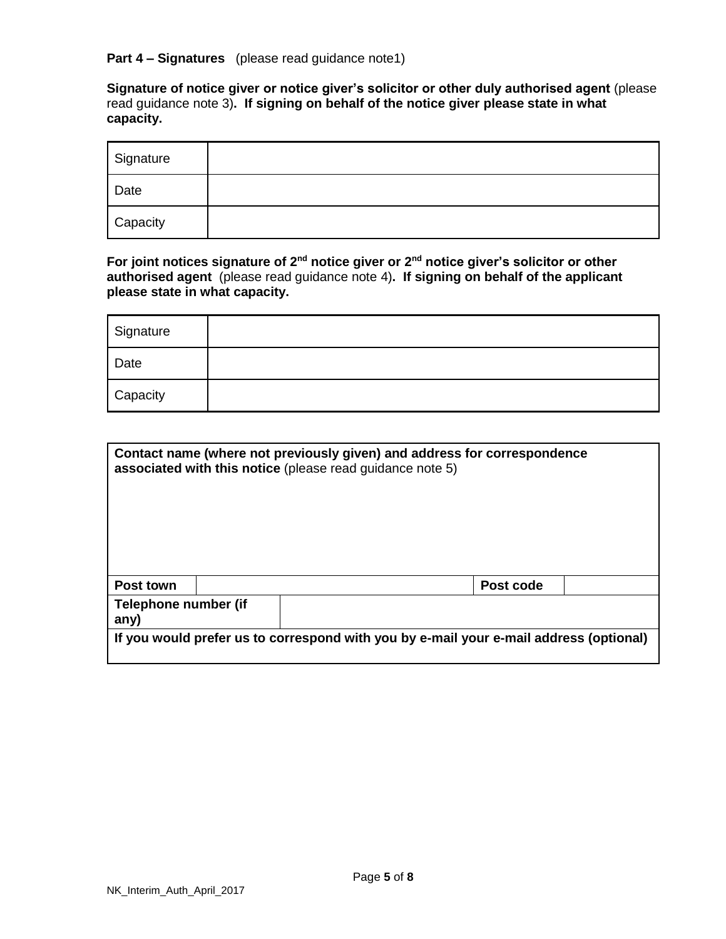**Part 4 – Signatures** (please read guidance note1)

**Signature of notice giver or notice giver's solicitor or other duly authorised agent** (please read guidance note 3)**. If signing on behalf of the notice giver please state in what capacity.** 

| Signature |  |
|-----------|--|
| Date      |  |
| Capacity  |  |

**For joint notices signature of 2nd notice giver or 2nd notice giver's solicitor or other authorised agent** (please read guidance note 4)**. If signing on behalf of the applicant please state in what capacity.**

| Signature |  |
|-----------|--|
| Date      |  |
| Capacity  |  |

|                              | Contact name (where not previously given) and address for correspondence<br>associated with this notice (please read guidance note 5) |                                                                                        |  |  |  |  |  |  |
|------------------------------|---------------------------------------------------------------------------------------------------------------------------------------|----------------------------------------------------------------------------------------|--|--|--|--|--|--|
| <b>Post town</b>             |                                                                                                                                       | Post code                                                                              |  |  |  |  |  |  |
| Telephone number (if<br>any) |                                                                                                                                       |                                                                                        |  |  |  |  |  |  |
|                              |                                                                                                                                       | If you would prefer us to correspond with you by e-mail your e-mail address (optional) |  |  |  |  |  |  |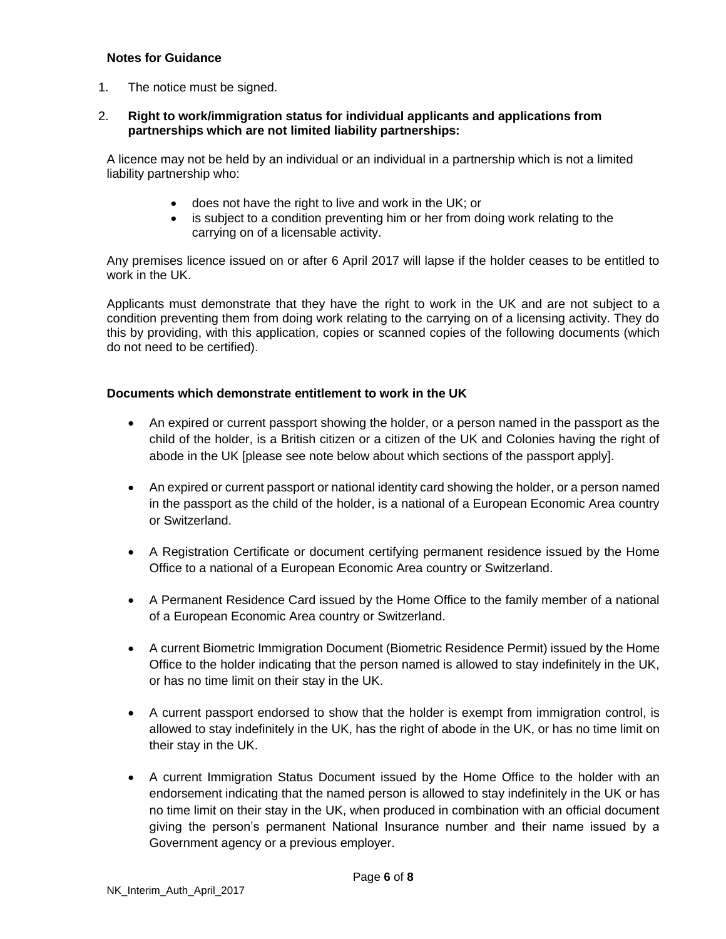### **Notes for Guidance**

1. The notice must be signed.

### 2. **Right to work/immigration status for individual applicants and applications from partnerships which are not limited liability partnerships:**

A licence may not be held by an individual or an individual in a partnership which is not a limited liability partnership who:

- does not have the right to live and work in the UK; or
- is subject to a condition preventing him or her from doing work relating to the carrying on of a licensable activity.

Any premises licence issued on or after 6 April 2017 will lapse if the holder ceases to be entitled to work in the UK.

Applicants must demonstrate that they have the right to work in the UK and are not subject to a condition preventing them from doing work relating to the carrying on of a licensing activity. They do this by providing, with this application, copies or scanned copies of the following documents (which do not need to be certified).

### **Documents which demonstrate entitlement to work in the UK**

- An expired or current passport showing the holder, or a person named in the passport as the child of the holder, is a British citizen or a citizen of the UK and Colonies having the right of abode in the UK [please see note below about which sections of the passport apply].
- An expired or current passport or national identity card showing the holder, or a person named in the passport as the child of the holder, is a national of a European Economic Area country or Switzerland.
- A Registration Certificate or document certifying permanent residence issued by the Home Office to a national of a European Economic Area country or Switzerland.
- A Permanent Residence Card issued by the Home Office to the family member of a national of a European Economic Area country or Switzerland.
- A current Biometric Immigration Document (Biometric Residence Permit) issued by the Home Office to the holder indicating that the person named is allowed to stay indefinitely in the UK, or has no time limit on their stay in the UK.
- A current passport endorsed to show that the holder is exempt from immigration control, is allowed to stay indefinitely in the UK, has the right of abode in the UK, or has no time limit on their stay in the UK.
- A current Immigration Status Document issued by the Home Office to the holder with an endorsement indicating that the named person is allowed to stay indefinitely in the UK or has no time limit on their stay in the UK, when produced in combination with an official document giving the person's permanent National Insurance number and their name issued by a Government agency or a previous employer.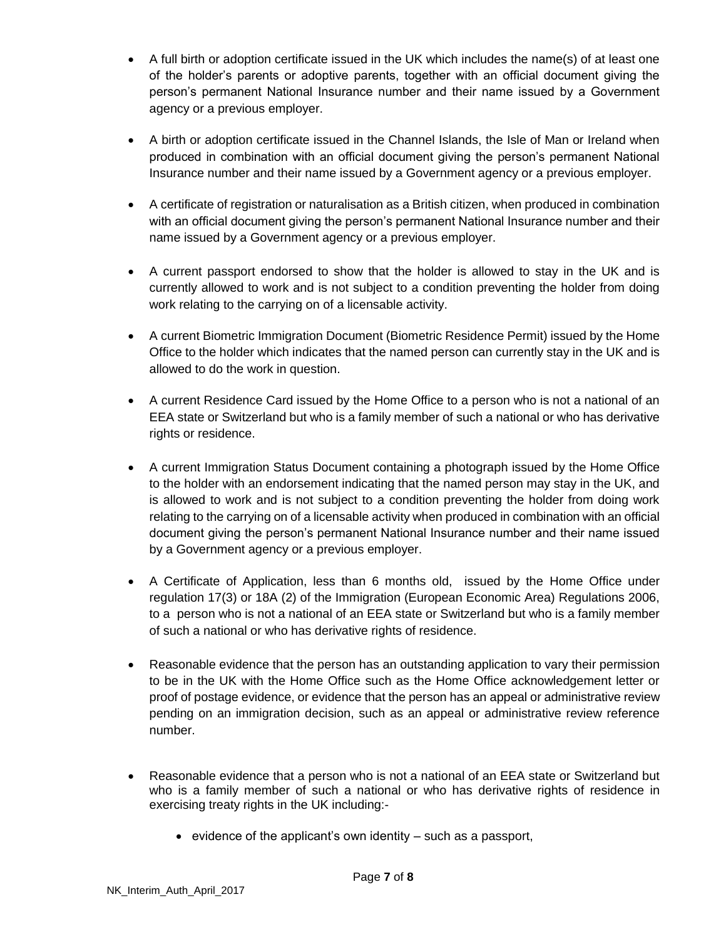- A full birth or adoption certificate issued in the UK which includes the name(s) of at least one of the holder's parents or adoptive parents, together with an official document giving the person's permanent National Insurance number and their name issued by a Government agency or a previous employer.
- A birth or adoption certificate issued in the Channel Islands, the Isle of Man or Ireland when produced in combination with an official document giving the person's permanent National Insurance number and their name issued by a Government agency or a previous employer.
- A certificate of registration or naturalisation as a British citizen, when produced in combination with an official document giving the person's permanent National Insurance number and their name issued by a Government agency or a previous employer.
- A current passport endorsed to show that the holder is allowed to stay in the UK and is currently allowed to work and is not subject to a condition preventing the holder from doing work relating to the carrying on of a licensable activity.
- A current Biometric Immigration Document (Biometric Residence Permit) issued by the Home Office to the holder which indicates that the named person can currently stay in the UK and is allowed to do the work in question.
- A current Residence Card issued by the Home Office to a person who is not a national of an EEA state or Switzerland but who is a family member of such a national or who has derivative rights or residence.
- A current Immigration Status Document containing a photograph issued by the Home Office to the holder with an endorsement indicating that the named person may stay in the UK, and is allowed to work and is not subject to a condition preventing the holder from doing work relating to the carrying on of a licensable activity when produced in combination with an official document giving the person's permanent National Insurance number and their name issued by a Government agency or a previous employer.
- A Certificate of Application, less than 6 months old, issued by the Home Office under regulation 17(3) or 18A (2) of the Immigration (European Economic Area) Regulations 2006, to a person who is not a national of an EEA state or Switzerland but who is a family member of such a national or who has derivative rights of residence.
- Reasonable evidence that the person has an outstanding application to vary their permission to be in the UK with the Home Office such as the Home Office acknowledgement letter or proof of postage evidence, or evidence that the person has an appeal or administrative review pending on an immigration decision, such as an appeal or administrative review reference number.
- Reasonable evidence that a person who is not a national of an EEA state or Switzerland but who is a family member of such a national or who has derivative rights of residence in exercising treaty rights in the UK including:-
	- evidence of the applicant's own identity  $-$  such as a passport,